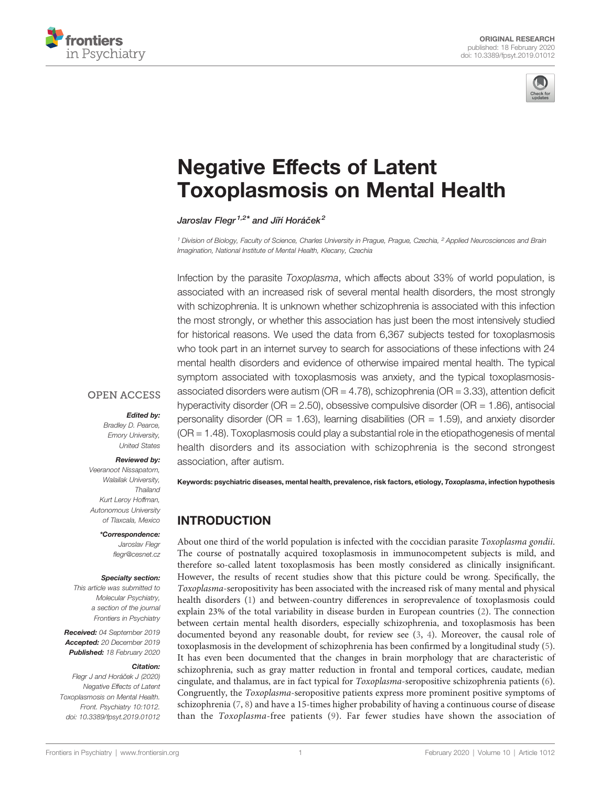



# [Negative Effects of Latent](https://www.frontiersin.org/article/10.3389/fpsyt.2019.01012/full) [Toxoplasmosis on Mental Health](https://www.frontiersin.org/article/10.3389/fpsyt.2019.01012/full)

[Jaroslav Flegr](https://loop.frontiersin.org/people/157800)<sup>1,2\*</sup> and Jiří Horáč[ek](https://loop.frontiersin.org/people/159505)<sup>2</sup>

<sup>1</sup> Division of Biology, Faculty of Science, Charles University in Prague, Prague, Czechia, <sup>2</sup> Applied Neurosciences and Brain Imagination, National Institute of Mental Health, Klecany, Czechia

Infection by the parasite Toxoplasma, which affects about 33% of world population, is associated with an increased risk of several mental health disorders, the most strongly with schizophrenia. It is unknown whether schizophrenia is associated with this infection the most strongly, or whether this association has just been the most intensively studied for historical reasons. We used the data from 6,367 subjects tested for toxoplasmosis who took part in an internet survey to search for associations of these infections with 24 mental health disorders and evidence of otherwise impaired mental health. The typical symptom associated with toxoplasmosis was anxiety, and the typical toxoplasmosisassociated disorders were autism (OR = 4.78), schizophrenia (OR = 3.33), attention deficit hyperactivity disorder ( $OR = 2.50$ ), obsessive compulsive disorder ( $OR = 1.86$ ), antisocial personality disorder ( $OR = 1.63$ ), learning disabilities ( $OR = 1.59$ ), and anxiety disorder (OR = 1.48). Toxoplasmosis could play a substantial role in the etiopathogenesis of mental health disorders and its association with schizophrenia is the second strongest association, after autism.

Keywords: psychiatric diseases, mental health, prevalence, risk factors, etiology, Toxoplasma, infection hypothesis

## INTRODUCTION

About one third of the world population is infected with the coccidian parasite Toxoplasma gondii. The course of postnatally acquired toxoplasmosis in immunocompetent subjects is mild, and therefore so-called latent toxoplasmosis has been mostly considered as clinically insignificant. However, the results of recent studies show that this picture could be wrong. Specifically, the Toxoplasma-seropositivity has been associated with the increased risk of many mental and physical health disorders [\(1](#page-7-0)) and between-country differences in seroprevalence of toxoplasmosis could explain 23% of the total variability in disease burden in European countries ([2](#page-7-0)). The connection between certain mental health disorders, especially schizophrenia, and toxoplasmosis has been documented beyond any reasonable doubt, for review see [\(3,](#page-7-0) [4\)](#page-7-0). Moreover, the causal role of toxoplasmosis in the development of schizophrenia has been confirmed by a longitudinal study [\(5\)](#page-7-0). It has even been documented that the changes in brain morphology that are characteristic of schizophrenia, such as gray matter reduction in frontal and temporal cortices, caudate, median cingulate, and thalamus, are in fact typical for Toxoplasma-seropositive schizophrenia patients [\(6\)](#page-7-0). Congruently, the Toxoplasma-seropositive patients express more prominent positive symptoms of schizophrenia ([7](#page-7-0), [8](#page-7-0)) and have a 15-times higher probability of having a continuous course of disease than the Toxoplasma-free patients ([9\)](#page-7-0). Far fewer studies have shown the association of

**OPEN ACCESS** 

#### Edited by:

Bradley D. Pearce, Emory University, United States

#### Reviewed by:

Veeranoot Nissapatorn, Walailak University, Thailand Kurt Leroy Hoffman, Autonomous University of Tlaxcala, Mexico

> \*Correspondence: Jaroslav Flegr fl[egr@cesnet.cz](mailto:flegr@cesnet.cz)

#### Specialty section:

This article was submitted to Molecular Psychiatry, a section of the journal Frontiers in Psychiatry

Received: 04 September 2019 Accepted: 20 December 2019 Published: 18 February 2020

#### Citation:

Flegr J and Horáček J (2020) Negative Effects of Latent Toxoplasmosis on Mental Health. Front. Psychiatry 10:1012. [doi: 10.3389/fpsyt.2019.01012](https://doi.org/10.3389/fpsyt.2019.01012)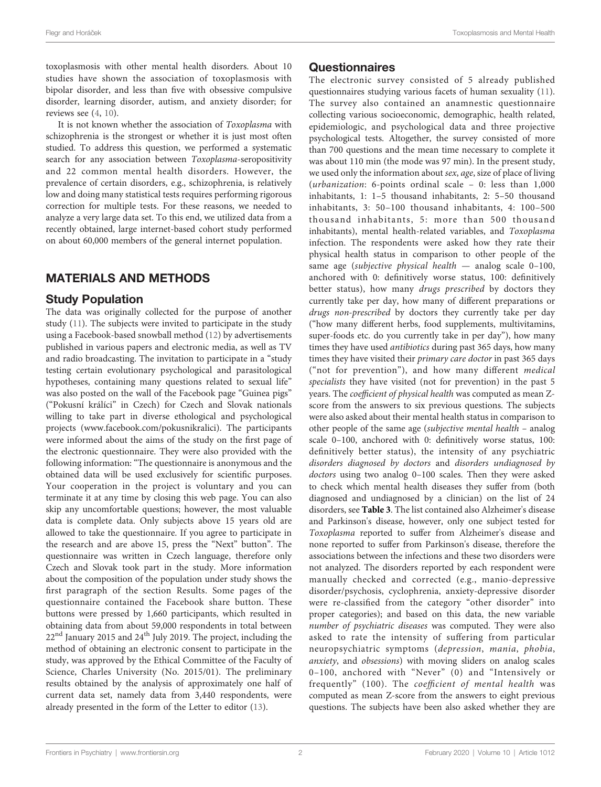toxoplasmosis with other mental health disorders. About 10 studies have shown the association of toxoplasmosis with bipolar disorder, and less than five with obsessive compulsive disorder, learning disorder, autism, and anxiety disorder; for reviews see ([4](#page-7-0), [10](#page-7-0)).

It is not known whether the association of Toxoplasma with schizophrenia is the strongest or whether it is just most often studied. To address this question, we performed a systematic search for any association between Toxoplasma-seropositivity and 22 common mental health disorders. However, the prevalence of certain disorders, e.g., schizophrenia, is relatively low and doing many statistical tests requires performing rigorous correction for multiple tests. For these reasons, we needed to analyze a very large data set. To this end, we utilized data from a recently obtained, large internet-based cohort study performed on about 60,000 members of the general internet population.

#### MATERIALS AND METHODS

#### Study Population

The data was originally collected for the purpose of another study [\(11](#page-7-0)). The subjects were invited to participate in the study using a Facebook-based snowball method ([12\)](#page-7-0) by advertisements published in various papers and electronic media, as well as TV and radio broadcasting. The invitation to participate in a "study testing certain evolutionary psychological and parasitological hypotheses, containing many questions related to sexual life" was also posted on the wall of the Facebook page "Guinea pigs" ("Pokusní králíci" in Czech) for Czech and Slovak nationals willing to take part in diverse ethological and psychological projects [\(www.facebook.com/pokusnikralici](http://www.facebook.com/pokusnikralici)). The participants were informed about the aims of the study on the first page of the electronic questionnaire. They were also provided with the following information: "The questionnaire is anonymous and the obtained data will be used exclusively for scientific purposes. Your cooperation in the project is voluntary and you can terminate it at any time by closing this web page. You can also skip any uncomfortable questions; however, the most valuable data is complete data. Only subjects above 15 years old are allowed to take the questionnaire. If you agree to participate in the research and are above 15, press the "Next" button". The questionnaire was written in Czech language, therefore only Czech and Slovak took part in the study. More information about the composition of the population under study shows the first paragraph of the section Results. Some pages of the questionnaire contained the Facebook share button. These buttons were pressed by 1,660 participants, which resulted in obtaining data from about 59,000 respondents in total between  $22<sup>nd</sup>$  January 2015 and 24<sup>th</sup> July 2019. The project, including the method of obtaining an electronic consent to participate in the study, was approved by the Ethical Committee of the Faculty of Science, Charles University (No. 2015/01). The preliminary results obtained by the analysis of approximately one half of current data set, namely data from 3,440 respondents, were already presented in the form of the Letter to editor [\(13](#page-7-0)).

#### Questionnaires

The electronic survey consisted of 5 already published questionnaires studying various facets of human sexuality [\(11\)](#page-7-0). The survey also contained an anamnestic questionnaire collecting various socioeconomic, demographic, health related, epidemiologic, and psychological data and three projective psychological tests. Altogether, the survey consisted of more than 700 questions and the mean time necessary to complete it was about 110 min (the mode was 97 min). In the present study, we used only the information about sex, age, size of place of living (urbanization: 6-points ordinal scale – 0: less than 1,000 inhabitants, 1: 1–5 thousand inhabitants, 2: 5–50 thousand inhabitants, 3: 50–100 thousand inhabitants, 4: 100–500 thousand inhabitants, 5: more than 500 thousand inhabitants), mental health-related variables, and Toxoplasma infection. The respondents were asked how they rate their physical health status in comparison to other people of the same age (subjective physical health — analog scale 0–100, anchored with 0: definitively worse status, 100: definitively better status), how many drugs prescribed by doctors they currently take per day, how many of different preparations or drugs non-prescribed by doctors they currently take per day ("how many different herbs, food supplements, multivitamins, super-foods etc. do you currently take in per day"), how many times they have used antibiotics during past 365 days, how many times they have visited their primary care doctor in past 365 days ("not for prevention"), and how many different medical specialists they have visited (not for prevention) in the past 5 years. The coefficient of physical health was computed as mean Zscore from the answers to six previous questions. The subjects were also asked about their mental health status in comparison to other people of the same age (subjective mental health – analog scale 0–100, anchored with 0: definitively worse status, 100: definitively better status), the intensity of any psychiatric disorders diagnosed by doctors and disorders undiagnosed by doctors using two analog 0–100 scales. Then they were asked to check which mental health diseases they suffer from (both diagnosed and undiagnosed by a clinician) on the list of 24 disorders, see [Table 3](#page-5-0). The list contained also Alzheimer's disease and Parkinson's disease, however, only one subject tested for Toxoplasma reported to suffer from Alzheimer's disease and none reported to suffer from Parkinson's disease, therefore the associations between the infections and these two disorders were not analyzed. The disorders reported by each respondent were manually checked and corrected (e.g., manio-depressive disorder/psychosis, cyclophrenia, anxiety-depressive disorder were re-classified from the category "other disorder" into proper categories); and based on this data, the new variable number of psychiatric diseases was computed. They were also asked to rate the intensity of suffering from particular neuropsychiatric symptoms (depression, mania, phobia, anxiety, and obsessions) with moving sliders on analog scales 0–100, anchored with "Never" (0) and "Intensively or frequently" (100). The coefficient of mental health was computed as mean Z-score from the answers to eight previous questions. The subjects have been also asked whether they are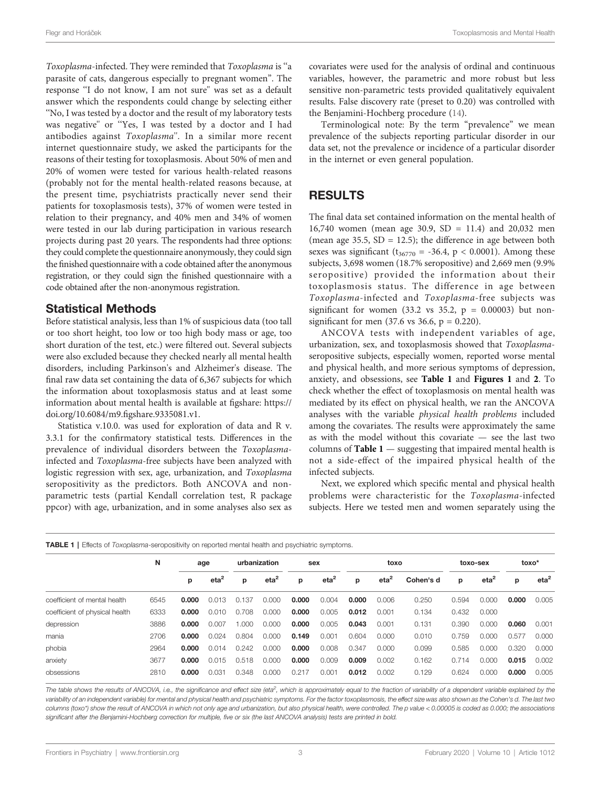Flear and Horáček **Flear and Health and Health and Health and Health and Health and Health and Mental Health and Mental Health** 

Toxoplasma-infected. They were reminded that Toxoplasma is ''a parasite of cats, dangerous especially to pregnant women". The response ''I do not know, I am not sure'' was set as a default answer which the respondents could change by selecting either ''No, I was tested by a doctor and the result of my laboratory tests was negative'' or ''Yes, I was tested by a doctor and I had antibodies against Toxoplasma''. In a similar more recent internet questionnaire study, we asked the participants for the reasons of their testing for toxoplasmosis. About 50% of men and 20% of women were tested for various health-related reasons (probably not for the mental health-related reasons because, at the present time, psychiatrists practically never send their patients for toxoplasmosis tests), 37% of women were tested in relation to their pregnancy, and 40% men and 34% of women were tested in our lab during participation in various research projects during past 20 years. The respondents had three options: they could complete the questionnaire anonymously, they could sign the finished questionnaire with a code obtained after the anonymous registration, or they could sign the finished questionnaire with a code obtained after the non-anonymous registration.

#### Statistical Methods

Before statistical analysis, less than 1% of suspicious data (too tall or too short height, too low or too high body mass or age, too short duration of the test, etc.) were filtered out. Several subjects were also excluded because they checked nearly all mental health disorders, including Parkinson's and Alzheimer's disease. The final raw data set containing the data of 6,367 subjects for which the information about toxoplasmosis status and at least some information about mental health is available at figshare: [https://](https://doi.org/10.6084/m9.figshare.9335081.v1) [doi.org/10.6084/m9.](https://doi.org/10.6084/m9.figshare.9335081.v1)figshare.9335081.v1.

Statistica v.10.0. was used for exploration of data and R v. 3.3.1 for the confirmatory statistical tests. Differences in the prevalence of individual disorders between the Toxoplasmainfected and Toxoplasma-free subjects have been analyzed with logistic regression with sex, age, urbanization, and Toxoplasma seropositivity as the predictors. Both ANCOVA and nonparametric tests (partial Kendall correlation test, R package ppcor) with age, urbanization, and in some analyses also sex as

covariates were used for the analysis of ordinal and continuous variables, however, the parametric and more robust but less sensitive non-parametric tests provided qualitatively equivalent results. False discovery rate (preset to 0.20) was controlled with the Benjamini-Hochberg procedure [\(14](#page-7-0)).

Terminological note: By the term "prevalence" we mean prevalence of the subjects reporting particular disorder in our data set, not the prevalence or incidence of a particular disorder in the internet or even general population.

#### RESULTS

The final data set contained information on the mental health of 16,740 women (mean age 30.9, SD = 11.4) and 20,032 men (mean age  $35.5$ ,  $SD = 12.5$ ); the difference in age between both sexes was significant ( $t_{36770}$  = -36.4, p < 0.0001). Among these subjects, 3,698 women (18.7% seropositive) and 2,669 men (9.9% seropositive) provided the information about their toxoplasmosis status. The difference in age between Toxoplasma-infected and Toxoplasma-free subjects was significant for women (33.2 vs 35.2,  $p = 0.00003$ ) but nonsignificant for men  $(37.6 \text{ vs } 36.6, p = 0.220)$ .

ANCOVA tests with independent variables of age, urbanization, sex, and toxoplasmosis showed that Toxoplasmaseropositive subjects, especially women, reported worse mental and physical health, and more serious symptoms of depression, anxiety, and obsessions, see Table 1 and [Figures 1](#page-3-0) and [2](#page-3-0). To check whether the effect of toxoplasmosis on mental health was mediated by its effect on physical health, we ran the ANCOVA analyses with the variable physical health problems included among the covariates. The results were approximately the same as with the model without this covariate — see the last two columns of **Table 1** — suggesting that impaired mental health is not a side-effect of the impaired physical health of the infected subjects.

Next, we explored which specific mental and physical health problems were characteristic for the Toxoplasma-infected subjects. Here we tested men and women separately using the

| <b>TABLE 1</b>   Effects of <i>Toxoplasma</i> -seropositivity on reported mental health and psychiatric symptoms. |      |       |         |              |                  |       |         |       |                  |           |          |         |       |                  |
|-------------------------------------------------------------------------------------------------------------------|------|-------|---------|--------------|------------------|-------|---------|-------|------------------|-----------|----------|---------|-------|------------------|
|                                                                                                                   | N    | age   |         | urbanization |                  | sex   |         | toxo  |                  |           | toxo-sex |         | toxo* |                  |
|                                                                                                                   |      | р     | $eta^2$ | р            | eta <sup>2</sup> | р     | $eta^2$ | р     | eta <sup>2</sup> | Cohen's d | р        | $eta^2$ | р     | eta <sup>2</sup> |
| coefficient of mental health                                                                                      | 6545 | 0.000 | 0.013   | 0.137        | 0.000            | 0.000 | 0.004   | 0.000 | 0.006            | 0.250     | 0.594    | 0.000   | 0.000 | 0.005            |
| coefficient of physical health                                                                                    | 6333 | 0.000 | 0.010   | 0.708        | 0.000            | 0.000 | 0.005   | 0.012 | 0.001            | 0.134     | 0.432    | 0.000   |       |                  |
| depression                                                                                                        | 3886 | 0.000 | 0.007   | 1.000        | 0.000            | 0.000 | 0.005   | 0.043 | 0.001            | 0.131     | 0.390    | 0.000   | 0.060 | 0.001            |
| mania                                                                                                             | 2706 | 0.000 | 0.024   | 0.804        | 0.000            | 0.149 | 0.001   | 0.604 | 0.000            | 0.010     | 0.759    | 0.000   | 0.577 | 0.000            |
| phobia                                                                                                            | 2964 | 0.000 | 0.014   | 0.242        | 0.000            | 0.000 | 0.008   | 0.347 | 0.000            | 0.099     | 0.585    | 0.000   | 0.320 | 0.000            |
| anxiety                                                                                                           | 3677 | 0.000 | 0.015   | 0.518        | 0.000            | 0.000 | 0.009   | 0.009 | 0.002            | 0.162     | 0.714    | 0.000   | 0.015 | 0.002            |
| obsessions                                                                                                        | 2810 | 0.000 | 0.031   | 0.348        | 0.000            | 0.217 | 0.001   | 0.012 | 0.002            | 0.129     | 0.624    | 0.000   | 0.000 | 0.005            |

The table shows the results of ANCOVA, i.e., the significance and effect size (eta<sup>2</sup>, which is approximately equal to the fraction of variability of a dependent variable explained by the variability of an independent variable) for mental and physical health and psychiatric symptoms. For the factor toxoplasmosis, the effect size was also shown as the Cohen's d. The last two columns (toxo\*) show the result of ANCOVA in which not only age and urbanization, but also physical health, were controlled. The p value < 0.00005 is coded as 0.000; the associations significant after the Benjamini-Hochberg correction for multiple, five or six (the last ANCOVA analysis) tests are printed in bold.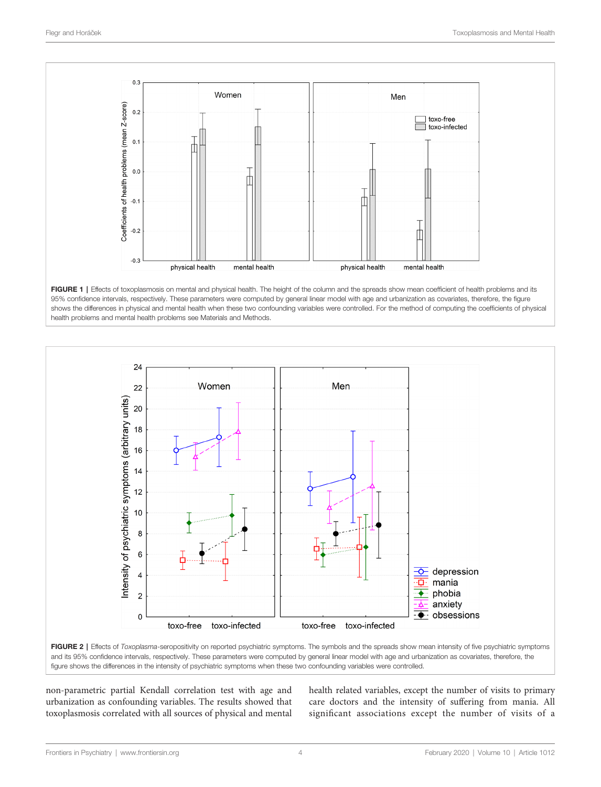<span id="page-3-0"></span>





FIGURE 2 | Effects of Toxoplasma-seropositivity on reported psychiatric symptoms. The symbols and the spreads show mean intensity of five psychiatric symptoms and its 95% confidence intervals, respectively. These parameters were computed by general linear model with age and urbanization as covariates, therefore, the figure shows the differences in the intensity of psychiatric symptoms when these two confounding variables were controlled.

non-parametric partial Kendall correlation test with age and urbanization as confounding variables. The results showed that toxoplasmosis correlated with all sources of physical and mental health related variables, except the number of visits to primary care doctors and the intensity of suffering from mania. All significant associations except the number of visits of a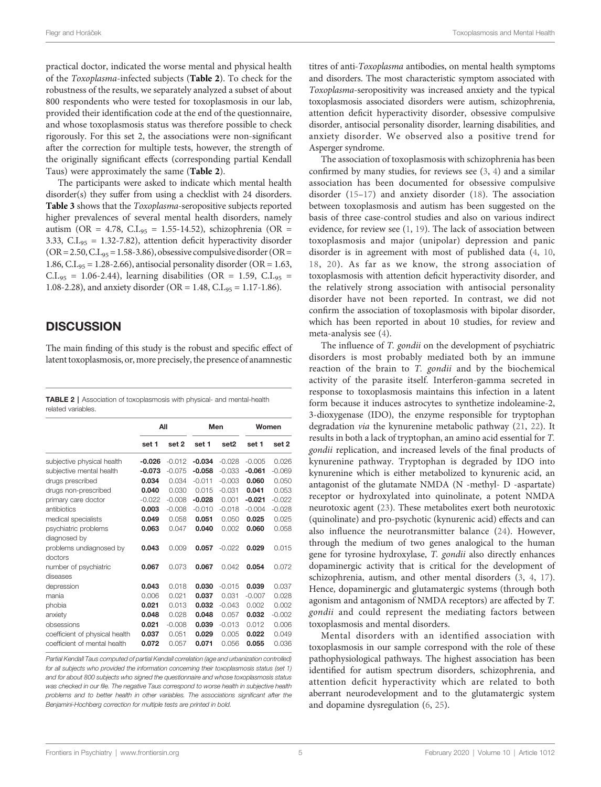practical doctor, indicated the worse mental and physical health of the Toxoplasma-infected subjects (Table 2). To check for the robustness of the results, we separately analyzed a subset of about 800 respondents who were tested for toxoplasmosis in our lab, provided their identification code at the end of the questionnaire, and whose toxoplasmosis status was therefore possible to check rigorously. For this set 2, the associations were non-significant after the correction for multiple tests, however, the strength of the originally significant effects (corresponding partial Kendall Taus) were approximately the same (Table 2).

The participants were asked to indicate which mental health disorder(s) they suffer from using a checklist with 24 disorders. [Table 3](#page-5-0) shows that the Toxoplasma-seropositive subjects reported higher prevalences of several mental health disorders, namely autism (OR = 4.78, C.I.<sub>95</sub> = 1.55-14.52), schizophrenia (OR = 3.33, C.I.<sub>95</sub> = 1.32-7.82), attention deficit hyperactivity disorder  $(OR = 2.50, C.I<sub>.95</sub> = 1.58-3.86)$ , obsessive compulsive disorder  $(OR = 1.58-3.86)$ 1.86, C.I. $_{95}$  = 1.28-2.66), antisocial personality disorder (OR = 1.63,  $C.I_{.95} = 1.06 - 2.44$ ), learning disabilities (OR = 1.59,  $C.I_{.95} =$ 1.08-2.28), and anxiety disorder (OR = 1.48, C.I.<sub>95</sub> = 1.17-1.86).

#### **DISCUSSION**

The main finding of this study is the robust and specific effect of latent toxoplasmosis, or, more precisely, the presence of anamnestic

TABLE 2 | Association of toxoplasmosis with physical- and mental-health related variables.

|                                |          | All      |          | Men      | Women    |          |  |
|--------------------------------|----------|----------|----------|----------|----------|----------|--|
|                                | set 1    | set 2    | set 1    | set2     | set 1    | set 2    |  |
| subjective physical health     | $-0.026$ | $-0.012$ | $-0.034$ | $-0.028$ | $-0.005$ | 0.026    |  |
| subjective mental health       | $-0.073$ | $-0.075$ | $-0.058$ | $-0.033$ | $-0.061$ | $-0.069$ |  |
| drugs prescribed               | 0.034    | 0.034    | $-0.011$ | $-0.003$ | 0.060    | 0.050    |  |
| drugs non-prescribed           | 0.040    | 0.030    | 0.015    | $-0.031$ | 0.041    | 0.053    |  |
| primary care doctor            | $-0.022$ | $-0.008$ | $-0.028$ | 0.001    | $-0.021$ | $-0.022$ |  |
| antibiotics                    | 0.003    | $-0.008$ | $-0.010$ | $-0.018$ | $-0.004$ | $-0.028$ |  |
| medical specialists            | 0.049    | 0.058    | 0.051    | 0.050    | 0.025    | 0.025    |  |
| psychiatric problems           | 0.063    | 0.047    | 0.040    | 0.002    | 0.060    | 0.058    |  |
| diagnosed by                   |          |          |          |          |          |          |  |
| problems undiagnosed by        | 0.043    | 0.009    | 0.057    | $-0.022$ | 0.029    | 0.015    |  |
| doctors                        |          |          |          |          |          |          |  |
| number of psychiatric          | 0.067    | 0.073    | 0.067    | 0.042    | 0.054    | 0.072    |  |
| diseases                       |          |          |          |          |          |          |  |
| depression                     | 0.043    | 0.018    | 0.030    | $-0.015$ | 0.039    | 0.037    |  |
| mania                          | 0.006    | 0.021    | 0.037    | 0.031    | $-0.007$ | 0.028    |  |
| phobia                         | 0.021    | 0.013    | 0.032    | $-0.043$ | 0.002    | 0.002    |  |
| anxiety                        | 0.048    | 0.028    | 0.048    | 0.057    | 0.032    | $-0.002$ |  |
| obsessions                     | 0.021    | $-0.008$ | 0.039    | $-0.013$ | 0.012    | 0.006    |  |
| coefficient of physical health | 0.037    | 0.051    | 0.029    | 0.005    | 0.022    | 0.049    |  |
| coefficient of mental health   | 0.072    | 0.057    | 0.071    | 0.056    | 0.055    | 0.036    |  |

Partial Kendall Taus computed of partial Kendall correlation (age and urbanization controlled) for all subjects who provided the information concerning their toxoplasmosis status (set 1) and for about 800 subjects who signed the questionnaire and whose toxoplasmosis status was checked in our file. The negative Taus correspond to worse health in subjective health problems and to better health in other variables. The associations significant after the Benjamini-Hochberg correction for multiple tests are printed in bold.

titres of anti-Toxoplasma antibodies, on mental health symptoms and disorders. The most characteristic symptom associated with Toxoplasma-seropositivity was increased anxiety and the typical toxoplasmosis associated disorders were autism, schizophrenia, attention deficit hyperactivity disorder, obsessive compulsive disorder, antisocial personality disorder, learning disabilities, and anxiety disorder. We observed also a positive trend for Asperger syndrome.

The association of toxoplasmosis with schizophrenia has been confirmed by many studies, for reviews see ([3](#page-7-0), [4](#page-7-0)) and a similar association has been documented for obsessive compulsive disorder ([15](#page-7-0)–[17](#page-7-0)) and anxiety disorder ([18\)](#page-7-0). The association between toxoplasmosis and autism has been suggested on the basis of three case-control studies and also on various indirect evidence, for review see [\(1,](#page-7-0) [19\)](#page-7-0). The lack of association between toxoplasmosis and major (unipolar) depression and panic disorder is in agreement with most of published data ([4](#page-7-0), [10,](#page-7-0) [18](#page-7-0), [20\)](#page-7-0). As far as we know, the strong association of toxoplasmosis with attention deficit hyperactivity disorder, and the relatively strong association with antisocial personality disorder have not been reported. In contrast, we did not confirm the association of toxoplasmosis with bipolar disorder, which has been reported in about 10 studies, for review and meta-analysis see [\(4\)](#page-7-0).

The influence of T. gondii on the development of psychiatric disorders is most probably mediated both by an immune reaction of the brain to T. gondii and by the biochemical activity of the parasite itself. Interferon-gamma secreted in response to toxoplasmosis maintains this infection in a latent form because it induces astrocytes to synthetize indoleamine-2, 3-dioxygenase (IDO), the enzyme responsible for tryptophan degradation via the kynurenine metabolic pathway [\(21](#page-7-0), [22](#page-7-0)). It results in both a lack of tryptophan, an amino acid essential for T. gondii replication, and increased levels of the final products of kynurenine pathway. Tryptophan is degraded by IDO into kynurenine which is either metabolized to kynurenic acid, an antagonist of the glutamate NMDA (N -methyl- D -aspartate) receptor or hydroxylated into quinolinate, a potent NMDA neurotoxic agent [\(23](#page-7-0)). These metabolites exert both neurotoxic (quinolinate) and pro-psychotic (kynurenic acid) effects and can also influence the neurotransmitter balance ([24](#page-7-0)). However, through the medium of two genes analogical to the human gene for tyrosine hydroxylase, T. gondii also directly enhances dopaminergic activity that is critical for the development of schizophrenia, autism, and other mental disorders ([3](#page-7-0), [4](#page-7-0), [17\)](#page-7-0). Hence, dopaminergic and glutamatergic systems (through both agonism and antagonism of NMDA receptors) are affected by T. gondii and could represent the mediating factors between toxoplasmosis and mental disorders.

Mental disorders with an identified association with toxoplasmosis in our sample correspond with the role of these pathophysiological pathways. The highest association has been identified for autism spectrum disorders, schizophrenia, and attention deficit hyperactivity which are related to both aberrant neurodevelopment and to the glutamatergic system and dopamine dysregulation ([6](#page-7-0), [25](#page-7-0)).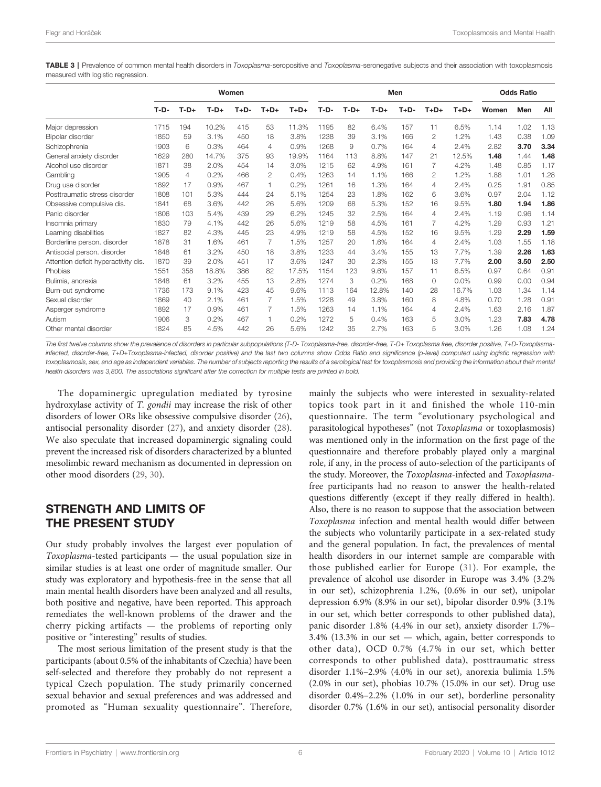<span id="page-5-0"></span>TABLE 3 | Prevalence of common mental health disorders in Toxoplasma-seropositive and Toxoplasma-seronegative subjects and their association with toxoplasmosis measured with logistic regression.

|                                      | Women  |        |        |        |                |        | Men    |        |        |        |          | <b>Odds Ratio</b> |       |      |      |
|--------------------------------------|--------|--------|--------|--------|----------------|--------|--------|--------|--------|--------|----------|-------------------|-------|------|------|
|                                      | $T-D-$ | $T-D+$ | $T-D+$ | $T+D-$ | $T+D+$         | $T+D+$ | $T-D-$ | $T-D+$ | $T-D+$ | $T+D-$ | $T+D+$   | $T+D+$            | Women | Men  | All  |
| Maior depression                     | 1715   | 194    | 10.2%  | 415    | 53             | 11.3%  | 1195   | 82     | 6.4%   | 157    | 11       | 6.5%              | 1.14  | 1.02 | 1.13 |
| Bipolar disorder                     | 1850   | 59     | 3.1%   | 450    | 18             | 3.8%   | 1238   | 39     | 3.1%   | 166    | 2        | 1.2%              | 1.43  | 0.38 | 1.09 |
| Schizophrenia                        | 1903   | 6      | 0.3%   | 464    | $\overline{4}$ | 0.9%   | 1268   | 9      | 0.7%   | 164    | 4        | 2.4%              | 2.82  | 3.70 | 3.34 |
| General anxiety disorder             | 1629   | 280    | 14.7%  | 375    | 93             | 19.9%  | 1164   | 113    | 8.8%   | 147    | 21       | 12.5%             | 1.48  | 1.44 | 1.48 |
| Alcohol use disorder                 | 1871   | 38     | 2.0%   | 454    | 14             | 3.0%   | 1215   | 62     | 4.9%   | 161    |          | 4.2%              | 1.48  | 0.85 | 1.17 |
| Gambling                             | 1905   | 4      | 0.2%   | 466    | 2              | 0.4%   | 1263   | 14     | 1.1%   | 166    | 2        | 1.2%              | 1.88  | 1.01 | 1.28 |
| Drug use disorder                    | 1892   | 17     | 0.9%   | 467    |                | 0.2%   | 1261   | 16     | 1.3%   | 164    | 4        | 2.4%              | 0.25  | 1.91 | 0.85 |
| Posttraumatic stress disorder        | 1808   | 101    | 5.3%   | 444    | 24             | 5.1%   | 1254   | 23     | 1.8%   | 162    | 6        | 3.6%              | 0.97  | 2.04 | 1.12 |
| Obsessive compulsive dis.            | 1841   | 68     | 3.6%   | 442    | 26             | 5.6%   | 1209   | 68     | 5.3%   | 152    | 16       | 9.5%              | 1.80  | 1.94 | 1.86 |
| Panic disorder                       | 1806   | 103    | 5.4%   | 439    | 29             | 6.2%   | 1245   | 32     | 2.5%   | 164    | 4        | 2.4%              | 1.19  | 0.96 | 1.14 |
| Insomnia primary                     | 1830   | 79     | 4.1%   | 442    | 26             | 5.6%   | 1219   | 58     | 4.5%   | 161    |          | 4.2%              | 1.29  | 0.93 | 1.21 |
| Learning disabilities                | 1827   | 82     | 4.3%   | 445    | 23             | 4.9%   | 1219   | 58     | 4.5%   | 152    | 16       | 9.5%              | 1.29  | 2.29 | 1.59 |
| Borderline person, disorder          | 1878   | 31     | 1.6%   | 461    |                | 1.5%   | 1257   | 20     | 1.6%   | 164    | 4        | 2.4%              | 1.03  | 1.55 | 1.18 |
| Antisocial person. disorder          | 1848   | 61     | 3.2%   | 450    | 18             | 3.8%   | 1233   | 44     | 3.4%   | 155    | 13       | 7.7%              | 1.39  | 2.26 | 1.63 |
| Attention deficit hyperactivity dis. | 1870   | 39     | 2.0%   | 451    | 17             | 3.6%   | 1247   | 30     | 2.3%   | 155    | 13       | 7.7%              | 2.00  | 3.50 | 2.50 |
| Phobias                              | 1551   | 358    | 18.8%  | 386    | 82             | 17.5%  | 1154   | 123    | 9.6%   | 157    | 11       | 6.5%              | 0.97  | 0.64 | 0.91 |
| Bulimia, anorexia                    | 1848   | 61     | 3.2%   | 455    | 13             | 2.8%   | 1274   | 3      | 0.2%   | 168    | $\Omega$ | 0.0%              | 0.99  | 0.00 | 0.94 |
| Burn-out syndrome                    | 1736   | 173    | 9.1%   | 423    | 45             | 9.6%   | 1113   | 164    | 12.8%  | 140    | 28       | 16.7%             | 1.03  | 1.34 | 1.14 |
| Sexual disorder                      | 1869   | 40     | 2.1%   | 461    |                | 1.5%   | 1228   | 49     | 3.8%   | 160    | 8        | 4.8%              | 0.70  | 1.28 | 0.91 |
| Asperger syndrome                    | 1892   | 17     | 0.9%   | 461    |                | 1.5%   | 1263   | 14     | 1.1%   | 164    | 4        | 2.4%              | 1.63  | 2.16 | 1.87 |
| Autism                               | 1906   | 3      | 0.2%   | 467    |                | 0.2%   | 1272   | 5      | 0.4%   | 163    | 5        | 3.0%              | 1.23  | 7.83 | 4.78 |
| Other mental disorder                | 1824   | 85     | 4.5%   | 442    | 26             | 5.6%   | 1242   | 35     | 2.7%   | 163    | 5        | 3.0%              | 1.26  | 1.08 | 1.24 |

The first twelve columns show the prevalence of disorders in particular subpopulations (T-D- Toxoplasma-free, disorder-free, T-D+ Toxoplasma free, disorder positive, T+D-Toxoplasmainfected, disorder-free, T+D+Toxoplasma-infected, disorder positive) and the last two columns show Odds Ratio and significance (p-level) computed using logistic regression with toxoplasmosis, sex, and age as independent variables. The number of subjects reporting the results of a serological test for toxoplasmosis and providing the information about their mental health disorders was 3,800. The associations significant after the correction for multiple tests are printed in bold.

The dopaminergic upregulation mediated by tyrosine hydroxylase activity of T. gondii may increase the risk of other disorders of lower ORs like obsessive compulsive disorder ([26\)](#page-7-0), antisocial personality disorder ([27](#page-7-0)), and anxiety disorder ([28\)](#page-7-0). We also speculate that increased dopaminergic signaling could prevent the increased risk of disorders characterized by a blunted mesolimbic reward mechanism as documented in depression on other mood disorders [\(29](#page-7-0), [30](#page-7-0)).

#### STRENGTH AND LIMITS OF THE PRESENT STUDY

Our study probably involves the largest ever population of Toxoplasma-tested participants — the usual population size in similar studies is at least one order of magnitude smaller. Our study was exploratory and hypothesis-free in the sense that all main mental health disorders have been analyzed and all results, both positive and negative, have been reported. This approach remediates the well-known problems of the drawer and the cherry picking artifacts — the problems of reporting only positive or "interesting" results of studies.

The most serious limitation of the present study is that the participants (about 0.5% of the inhabitants of Czechia) have been self-selected and therefore they probably do not represent a typical Czech population. The study primarily concerned sexual behavior and sexual preferences and was addressed and promoted as "Human sexuality questionnaire". Therefore, mainly the subjects who were interested in sexuality-related topics took part in it and finished the whole 110-min questionnaire. The term "evolutionary psychological and parasitological hypotheses" (not Toxoplasma or toxoplasmosis) was mentioned only in the information on the first page of the questionnaire and therefore probably played only a marginal role, if any, in the process of auto-selection of the participants of the study. Moreover, the Toxoplasma-infected and Toxoplasmafree participants had no reason to answer the health-related questions differently (except if they really differed in health). Also, there is no reason to suppose that the association between Toxoplasma infection and mental health would differ between the subjects who voluntarily participate in a sex-related study and the general population. In fact, the prevalences of mental health disorders in our internet sample are comparable with those published earlier for Europe ([31](#page-7-0)). For example, the prevalence of alcohol use disorder in Europe was 3.4% (3.2% in our set), schizophrenia 1.2%, (0.6% in our set), unipolar depression 6.9% (8.9% in our set), bipolar disorder 0.9% (3.1% in our set, which better corresponds to other published data), panic disorder 1.8% (4.4% in our set), anxiety disorder 1.7%– 3.4% (13.3% in our set — which, again, better corresponds to other data), OCD 0.7% (4.7% in our set, which better corresponds to other published data), posttraumatic stress disorder 1.1%–2.9% (4.0% in our set), anorexia bulimia 1.5% (2.0% in our set), phobias 10.7% (15.0% in our set). Drug use disorder 0.4%–2.2% (1.0% in our set), borderline personality disorder 0.7% (1.6% in our set), antisocial personality disorder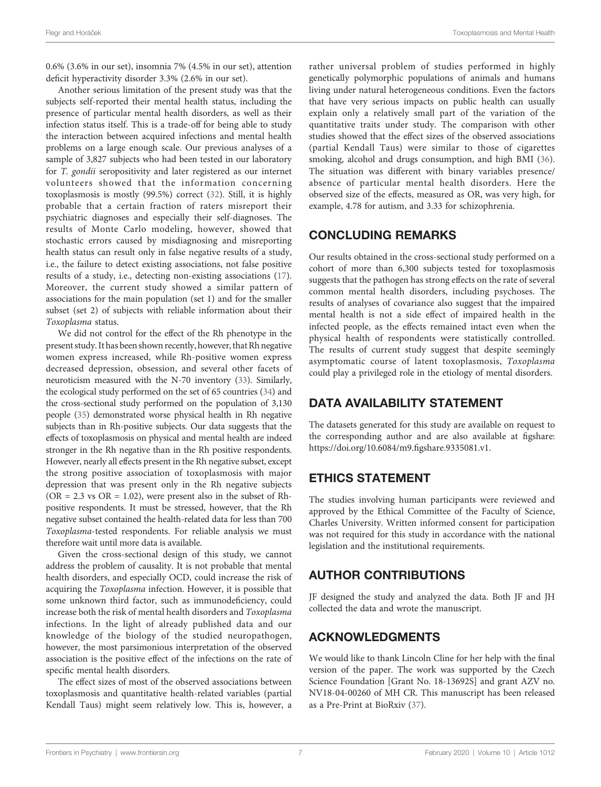0.6% (3.6% in our set), insomnia 7% (4.5% in our set), attention deficit hyperactivity disorder 3.3% (2.6% in our set).

Another serious limitation of the present study was that the subjects self-reported their mental health status, including the presence of particular mental health disorders, as well as their infection status itself. This is a trade-off for being able to study the interaction between acquired infections and mental health problems on a large enough scale. Our previous analyses of a sample of 3,827 subjects who had been tested in our laboratory for T. gondii seropositivity and later registered as our internet volunteers showed that the information concerning toxoplasmosis is mostly (99.5%) correct [\(32](#page-7-0)). Still, it is highly probable that a certain fraction of raters misreport their psychiatric diagnoses and especially their self-diagnoses. The results of Monte Carlo modeling, however, showed that stochastic errors caused by misdiagnosing and misreporting health status can result only in false negative results of a study, i.e., the failure to detect existing associations, not false positive results of a study, i.e., detecting non-existing associations ([17\)](#page-7-0). Moreover, the current study showed a similar pattern of associations for the main population (set 1) and for the smaller subset (set 2) of subjects with reliable information about their Toxoplasma status.

We did not control for the effect of the Rh phenotype in the present study. It has been shown recently, however, that Rh negative women express increased, while Rh-positive women express decreased depression, obsession, and several other facets of neuroticism measured with the N-70 inventory [\(33\)](#page-7-0). Similarly, the ecological study performed on the set of 65 countries ([34\)](#page-7-0) and the cross-sectional study performed on the population of 3,130 people ([35\)](#page-7-0) demonstrated worse physical health in Rh negative subjects than in Rh-positive subjects. Our data suggests that the effects of toxoplasmosis on physical and mental health are indeed stronger in the Rh negative than in the Rh positive respondents. However, nearly all effects present in the Rh negative subset, except the strong positive association of toxoplasmosis with major depression that was present only in the Rh negative subjects  $(OR = 2.3 \text{ vs } OR = 1.02)$ , were present also in the subset of Rhpositive respondents. It must be stressed, however, that the Rh negative subset contained the health-related data for less than 700 Toxoplasma-tested respondents. For reliable analysis we must therefore wait until more data is available.

Given the cross-sectional design of this study, we cannot address the problem of causality. It is not probable that mental health disorders, and especially OCD, could increase the risk of acquiring the Toxoplasma infection. However, it is possible that some unknown third factor, such as immunodeficiency, could increase both the risk of mental health disorders and Toxoplasma infections. In the light of already published data and our knowledge of the biology of the studied neuropathogen, however, the most parsimonious interpretation of the observed association is the positive effect of the infections on the rate of specific mental health disorders.

The effect sizes of most of the observed associations between toxoplasmosis and quantitative health-related variables (partial Kendall Taus) might seem relatively low. This is, however, a rather universal problem of studies performed in highly genetically polymorphic populations of animals and humans living under natural heterogeneous conditions. Even the factors that have very serious impacts on public health can usually explain only a relatively small part of the variation of the quantitative traits under study. The comparison with other studies showed that the effect sizes of the observed associations (partial Kendall Taus) were similar to those of cigarettes smoking, alcohol and drugs consumption, and high BMI [\(36\)](#page-7-0). The situation was different with binary variables presence/ absence of particular mental health disorders. Here the observed size of the effects, measured as OR, was very high, for example, 4.78 for autism, and 3.33 for schizophrenia.

#### CONCLUDING REMARKS

Our results obtained in the cross-sectional study performed on a cohort of more than 6,300 subjects tested for toxoplasmosis suggests that the pathogen has strong effects on the rate of several common mental health disorders, including psychoses. The results of analyses of covariance also suggest that the impaired mental health is not a side effect of impaired health in the infected people, as the effects remained intact even when the physical health of respondents were statistically controlled. The results of current study suggest that despite seemingly asymptomatic course of latent toxoplasmosis, Toxoplasma could play a privileged role in the etiology of mental disorders.

## DATA AVAILABILITY STATEMENT

The datasets generated for this study are available on request to the corresponding author and are also available at figshare: [https://doi.org/10.6084/m9.](https://doi.org/10.6084/m9.figshare.9335081.v1)figshare.9335081.v1.

## ETHICS STATEMENT

The studies involving human participants were reviewed and approved by the Ethical Committee of the Faculty of Science, Charles University. Written informed consent for participation was not required for this study in accordance with the national legislation and the institutional requirements.

# AUTHOR CONTRIBUTIONS

JF designed the study and analyzed the data. Both JF and JH collected the data and wrote the manuscript.

# ACKNOWLEDGMENTS

We would like to thank Lincoln Cline for her help with the final version of the paper. The work was supported by the Czech Science Foundation [Grant No. 18-13692S] and grant AZV no. NV18-04-00260 of MH CR. This manuscript has been released as a Pre-Print at BioRxiv ([37\)](#page-7-0).